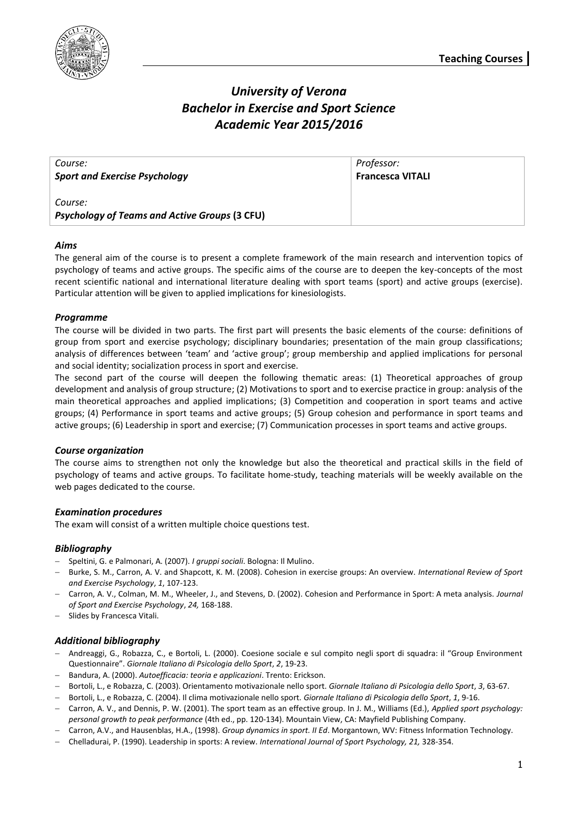

# *University of Verona Bachelor in Exercise and Sport Science Academic Year 2015/2016*

| Course:                                                         | Professor:              |
|-----------------------------------------------------------------|-------------------------|
| <b>Sport and Exercise Psychology</b>                            | <b>Francesca VITALI</b> |
| Course:<br><b>Psychology of Teams and Active Groups (3 CFU)</b> |                         |

## *Aims*

The general aim of the course is to present a complete framework of the main research and intervention topics of psychology of teams and active groups. The specific aims of the course are to deepen the key-concepts of the most recent scientific national and international literature dealing with sport teams (sport) and active groups (exercise). Particular attention will be given to applied implications for kinesiologists.

## *Programme*

The course will be divided in two parts. The first part will presents the basic elements of the course: definitions of group from sport and exercise psychology; disciplinary boundaries; presentation of the main group classifications; analysis of differences between 'team' and 'active group'; group membership and applied implications for personal and social identity; socialization process in sport and exercise.

The second part of the course will deepen the following thematic areas: (1) Theoretical approaches of group development and analysis of group structure; (2) Motivations to sport and to exercise practice in group: analysis of the main theoretical approaches and applied implications; (3) Competition and cooperation in sport teams and active groups; (4) Performance in sport teams and active groups; (5) Group cohesion and performance in sport teams and active groups; (6) Leadership in sport and exercise; (7) Communication processes in sport teams and active groups.

## *Course organization*

The course aims to strengthen not only the knowledge but also the theoretical and practical skills in the field of psychology of teams and active groups. To facilitate home-study, teaching materials will be weekly available on the web pages dedicated to the course.

### *Examination procedures*

The exam will consist of a written multiple choice questions test.

### *Bibliography*

- Speltini, G. e Palmonari, A. (2007). *I gruppi sociali*. Bologna: Il Mulino.
- Burke, S. M., Carron, A. V. and Shapcott, K. M. (2008). Cohesion in exercise groups: An overview. *International Review of Sport and Exercise Psychology*, *1*, 107-123.
- Carron, A. V., Colman, M. M., Wheeler, J., and Stevens, D. (2002). Cohesion and Performance in Sport: A meta analysis. *Journal of Sport and Exercise Psychology*, *24,* 168-188.
- Slides by Francesca Vitali.

## *Additional bibliography*

- Andreaggi, G., Robazza, C., e Bortoli, L. (2000). Coesione sociale e sul compito negli sport di squadra: il "Group Environment Questionnaire". *Giornale Italiano di Psicologia dello Sport*, *2*, 19-23.
- Bandura, A. (2000). *Autoefficacia: teoria e applicazioni*. Trento: Erickson.
- Bortoli, L., e Robazza, C. (2003). Orientamento motivazionale nello sport. *Giornale Italiano di Psicologia dello Sport*, *3*, 63-67.
- Bortoli, L., e Robazza, C. (2004). Il clima motivazionale nello sport. *Giornale Italiano di Psicologia dello Sport*, *1*, 9-16.
- Carron, A. V., and Dennis, P. W. (2001). The sport team as an effective group. In J. M., Williams (Ed.), *Applied sport psychology: personal growth to peak performance* (4th ed., pp. 120-134). Mountain View, CA: Mayfield Publishing Company.
- Carron, A.V., and Hausenblas, H.A., (1998). *Group dynamics in sport. II Ed*. Morgantown, WV: Fitness Information Technology.
- Chelladurai, P. (1990). Leadership in sports: A review. *International Journal of Sport Psychology, 21,* 328-354.